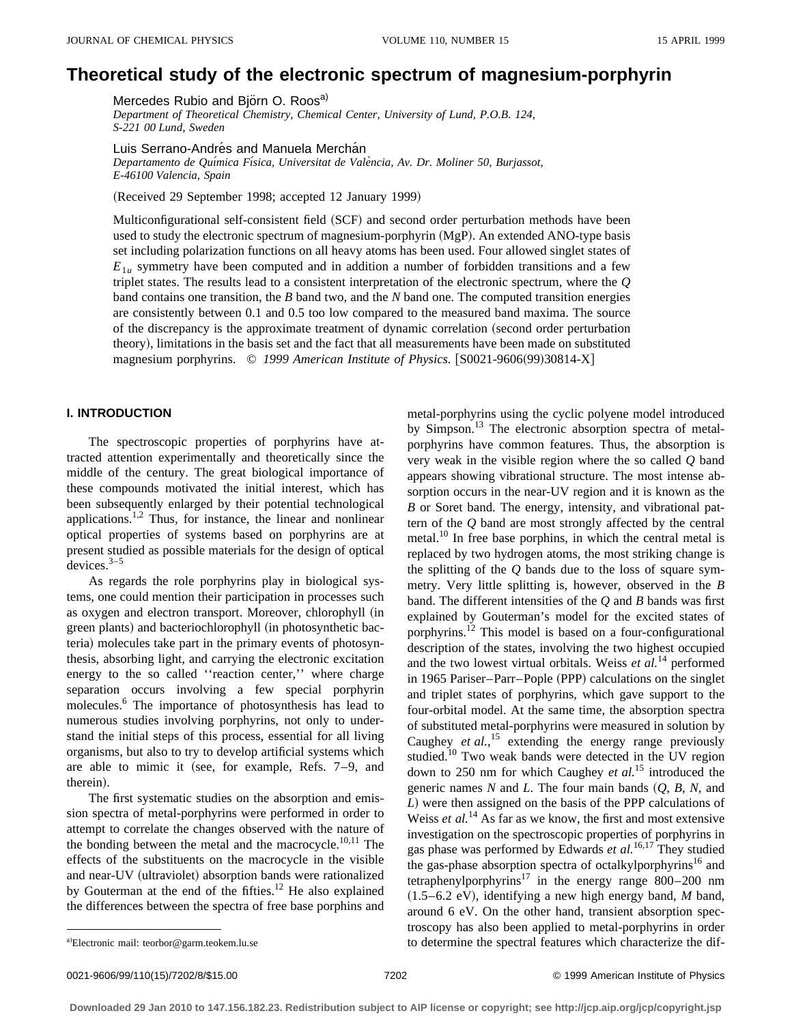# **Theoretical study of the electronic spectrum of magnesium-porphyrin**

Mercedes Rubio and Björn O. Roos<sup>a)</sup>

*Department of Theoretical Chemistry, Chemical Center, University of Lund, P.O.B. 124, S-221 00 Lund, Sweden*

Luis Serrano-Andrés and Manuela Merchán

*Departamento de Quı´mica Fı´sica, Universitat de Vale`ncia, Av. Dr. Moliner 50, Burjassot, E-46100 Valencia, Spain*

(Received 29 September 1998; accepted 12 January 1999)

Multiconfigurational self-consistent field (SCF) and second order perturbation methods have been used to study the electronic spectrum of magnesium-porphyrin  $(MgP)$ . An extended ANO-type basis set including polarization functions on all heavy atoms has been used. Four allowed singlet states of  $E_{1u}$  symmetry have been computed and in addition a number of forbidden transitions and a few triplet states. The results lead to a consistent interpretation of the electronic spectrum, where the *Q* band contains one transition, the *B* band two, and the *N* band one. The computed transition energies are consistently between 0.1 and 0.5 too low compared to the measured band maxima. The source of the discrepancy is the approximate treatment of dynamic correlation (second order perturbation theory!, limitations in the basis set and the fact that all measurements have been made on substituted magnesium porphyrins. © 1999 American Institute of Physics. [S0021-9606(99)30814-X]

## **I. INTRODUCTION**

The spectroscopic properties of porphyrins have attracted attention experimentally and theoretically since the middle of the century. The great biological importance of these compounds motivated the initial interest, which has been subsequently enlarged by their potential technological applications.<sup>1,2</sup> Thus, for instance, the linear and nonlinear optical properties of systems based on porphyrins are at present studied as possible materials for the design of optical devices. $3-5$ 

As regards the role porphyrins play in biological systems, one could mention their participation in processes such as oxygen and electron transport. Moreover, chlorophyll (in green plants) and bacteriochlorophyll (in photosynthetic bacteria) molecules take part in the primary events of photosynthesis, absorbing light, and carrying the electronic excitation energy to the so called ''reaction center,'' where charge separation occurs involving a few special porphyrin molecules.6 The importance of photosynthesis has lead to numerous studies involving porphyrins, not only to understand the initial steps of this process, essential for all living organisms, but also to try to develop artificial systems which are able to mimic it (see, for example, Refs.  $7-9$ , and therein).

The first systematic studies on the absorption and emission spectra of metal-porphyrins were performed in order to attempt to correlate the changes observed with the nature of the bonding between the metal and the macrocycle. $10,11$  The effects of the substituents on the macrocycle in the visible and near-UV (ultraviolet) absorption bands were rationalized by Gouterman at the end of the fifties.<sup>12</sup> He also explained the differences between the spectra of free base porphins and metal-porphyrins using the cyclic polyene model introduced by Simpson.<sup>13</sup> The electronic absorption spectra of metalporphyrins have common features. Thus, the absorption is very weak in the visible region where the so called *Q* band appears showing vibrational structure. The most intense absorption occurs in the near-UV region and it is known as the *B* or Soret band. The energy, intensity, and vibrational pattern of the *Q* band are most strongly affected by the central metal.<sup>10</sup> In free base porphins, in which the central metal is replaced by two hydrogen atoms, the most striking change is the splitting of the *Q* bands due to the loss of square symmetry. Very little splitting is, however, observed in the *B* band. The different intensities of the *Q* and *B* bands was first explained by Gouterman's model for the excited states of porphyrins.12 This model is based on a four-configurational description of the states, involving the two highest occupied and the two lowest virtual orbitals. Weiss *et al.*<sup>14</sup> performed in 1965 Pariser–Parr–Pople (PPP) calculations on the singlet and triplet states of porphyrins, which gave support to the four-orbital model. At the same time, the absorption spectra of substituted metal-porphyrins were measured in solution by Caughey *et al.*,<sup>15</sup> extending the energy range previously studied.<sup>10</sup> Two weak bands were detected in the UV region down to 250 nm for which Caughey *et al.*<sup>15</sup> introduced the generic names  $N$  and  $L$ . The four main bands  $(Q, B, N, \text{ and})$ *L*! were then assigned on the basis of the PPP calculations of Weiss *et al.*<sup>14</sup> As far as we know, the first and most extensive investigation on the spectroscopic properties of porphyrins in gas phase was performed by Edwards *et al.*16,17 They studied the gas-phase absorption spectra of octalkylporphyrins<sup>16</sup> and tetraphenylporphyrins<sup>17</sup> in the energy range  $800-200$  nm  $(1.5-6.2 \text{ eV})$ , identifying a new high energy band, *M* band, around 6 eV. On the other hand, transient absorption spectroscopy has also been applied to metal-porphyrins in order to determine the spectral features which characterize the dif-

a)Electronic mail: teorbor@garm.teokem.lu.se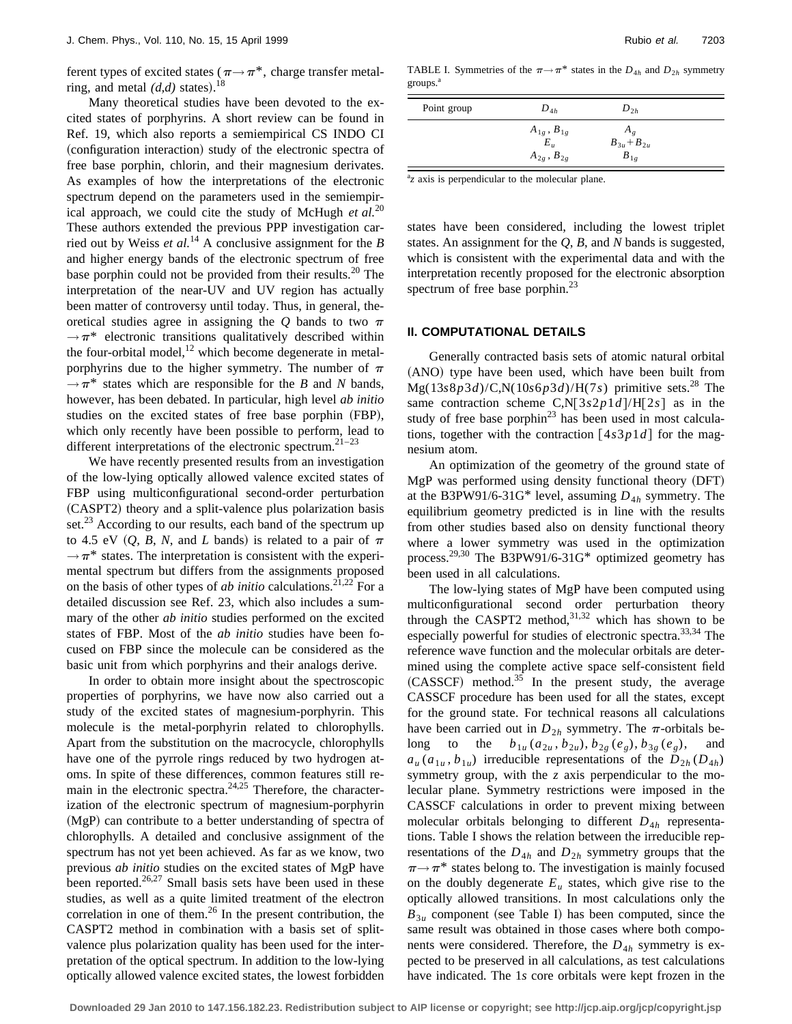ferent types of excited states ( $\pi \rightarrow \pi^*$ , charge transfer metalring, and metal  $(d,d)$  states).<sup>18</sup>

Many theoretical studies have been devoted to the excited states of porphyrins. A short review can be found in Ref. 19, which also reports a semiempirical CS INDO CI (configuration interaction) study of the electronic spectra of free base porphin, chlorin, and their magnesium derivates. As examples of how the interpretations of the electronic spectrum depend on the parameters used in the semiempirical approach, we could cite the study of McHugh *et al.*<sup>20</sup> These authors extended the previous PPP investigation carried out by Weiss *et al.*<sup>14</sup> A conclusive assignment for the *B* and higher energy bands of the electronic spectrum of free base porphin could not be provided from their results.<sup>20</sup> The interpretation of the near-UV and UV region has actually been matter of controversy until today. Thus, in general, theoretical studies agree in assigning the  $Q$  bands to two  $\pi$  $\rightarrow \pi^*$  electronic transitions qualitatively described within the four-orbital model, $^{12}$  which become degenerate in metalporphyrins due to the higher symmetry. The number of  $\pi$  $\rightarrow \pi^*$  states which are responsible for the *B* and *N* bands, however, has been debated. In particular, high level *ab initio* studies on the excited states of free base porphin (FBP), which only recently have been possible to perform, lead to different interpretations of the electronic spectrum.<sup>21–23</sup>

We have recently presented results from an investigation of the low-lying optically allowed valence excited states of FBP using multiconfigurational second-order perturbation ~CASPT2! theory and a split-valence plus polarization basis set. $^{23}$  According to our results, each band of the spectrum up to 4.5 eV  $(Q, B, N, \text{ and } L \text{ bands})$  is related to a pair of  $\pi$  $\rightarrow \pi^*$  states. The interpretation is consistent with the experimental spectrum but differs from the assignments proposed on the basis of other types of *ab initio* calculations.<sup>21,22</sup> For a detailed discussion see Ref. 23, which also includes a summary of the other *ab initio* studies performed on the excited states of FBP. Most of the *ab initio* studies have been focused on FBP since the molecule can be considered as the basic unit from which porphyrins and their analogs derive.

In order to obtain more insight about the spectroscopic properties of porphyrins, we have now also carried out a study of the excited states of magnesium-porphyrin. This molecule is the metal-porphyrin related to chlorophylls. Apart from the substitution on the macrocycle, chlorophylls have one of the pyrrole rings reduced by two hydrogen atoms. In spite of these differences, common features still remain in the electronic spectra. $24,25$  Therefore, the characterization of the electronic spectrum of magnesium-porphyrin  $(MgP)$  can contribute to a better understanding of spectra of chlorophylls. A detailed and conclusive assignment of the spectrum has not yet been achieved. As far as we know, two previous *ab initio* studies on the excited states of MgP have been reported.<sup>26,27</sup> Small basis sets have been used in these studies, as well as a quite limited treatment of the electron correlation in one of them. $^{26}$  In the present contribution, the CASPT2 method in combination with a basis set of splitvalence plus polarization quality has been used for the interpretation of the optical spectrum. In addition to the low-lying optically allowed valence excited states, the lowest forbidden

TABLE I. Symmetries of the  $\pi \rightarrow \pi^*$  states in the  $D_{4h}$  and  $D_{2h}$  symmetry groups.<sup>a</sup>

| Point group | $D_{4h}$                     | $D_{2h}$                        |  |
|-------------|------------------------------|---------------------------------|--|
|             | $A_{1g}$ , $B_{1g}$<br>$E_u$ | $A_{\rho}$<br>$B_{3u} + B_{2u}$ |  |
|             | $A_{2g}$ , $B_{2g}$          | $B_{1\rho}$                     |  |

<sup>a</sup>z axis is perpendicular to the molecular plane.

states have been considered, including the lowest triplet states. An assignment for the *Q*, *B*, and *N* bands is suggested, which is consistent with the experimental data and with the interpretation recently proposed for the electronic absorption spectrum of free base porphin.<sup>23</sup>

## **II. COMPUTATIONAL DETAILS**

Generally contracted basis sets of atomic natural orbital (ANO) type have been used, which have been built from  $Mg(13s8p3d)/C$ , N(10*s*6*p*3*d*)/H(7*s*) primitive sets.<sup>28</sup> The same contraction scheme C,N[3*s*2*p*1*d*]/H[2*s*] as in the study of free base porphi $n^{23}$  has been used in most calculations, together with the contraction  $[4s3p1d]$  for the magnesium atom.

An optimization of the geometry of the ground state of  $MgP$  was performed using density functional theory  $(DFT)$ at the B3PW91/6-31G\* level, assuming  $D_{4h}$  symmetry. The equilibrium geometry predicted is in line with the results from other studies based also on density functional theory where a lower symmetry was used in the optimization process.<sup>29,30</sup> The B3PW91/6-31G<sup>\*</sup> optimized geometry has been used in all calculations.

The low-lying states of MgP have been computed using multiconfigurational second order perturbation theory through the CASPT2 method, $31,32$  which has shown to be especially powerful for studies of electronic spectra.33,34 The reference wave function and the molecular orbitals are determined using the complete active space self-consistent field  $(CASSCF)$  method.<sup>35</sup> In the present study, the average CASSCF procedure has been used for all the states, except for the ground state. For technical reasons all calculations have been carried out in  $D_{2h}$  symmetry. The  $\pi$ -orbitals belong to the  $b_{1u}$  ( $a_{2u}$ ,  $b_{2u}$ ),  $b_{2g}$  ( $e_g$ ),  $b_{3g}$  ( $e_g$ ), and  $a_u(a_{1u}, b_{1u})$  irreducible representations of the  $D_{2h}(D_{4h})$ symmetry group, with the *z* axis perpendicular to the molecular plane. Symmetry restrictions were imposed in the CASSCF calculations in order to prevent mixing between molecular orbitals belonging to different  $D_{4h}$  representations. Table I shows the relation between the irreducible representations of the  $D_{4h}$  and  $D_{2h}$  symmetry groups that the  $\pi \rightarrow \pi^*$  states belong to. The investigation is mainly focused on the doubly degenerate  $E<sub>u</sub>$  states, which give rise to the optically allowed transitions. In most calculations only the  $B_{3u}$  component (see Table I) has been computed, since the same result was obtained in those cases where both components were considered. Therefore, the  $D_{4h}$  symmetry is expected to be preserved in all calculations, as test calculations have indicated. The 1s core orbitals were kept frozen in the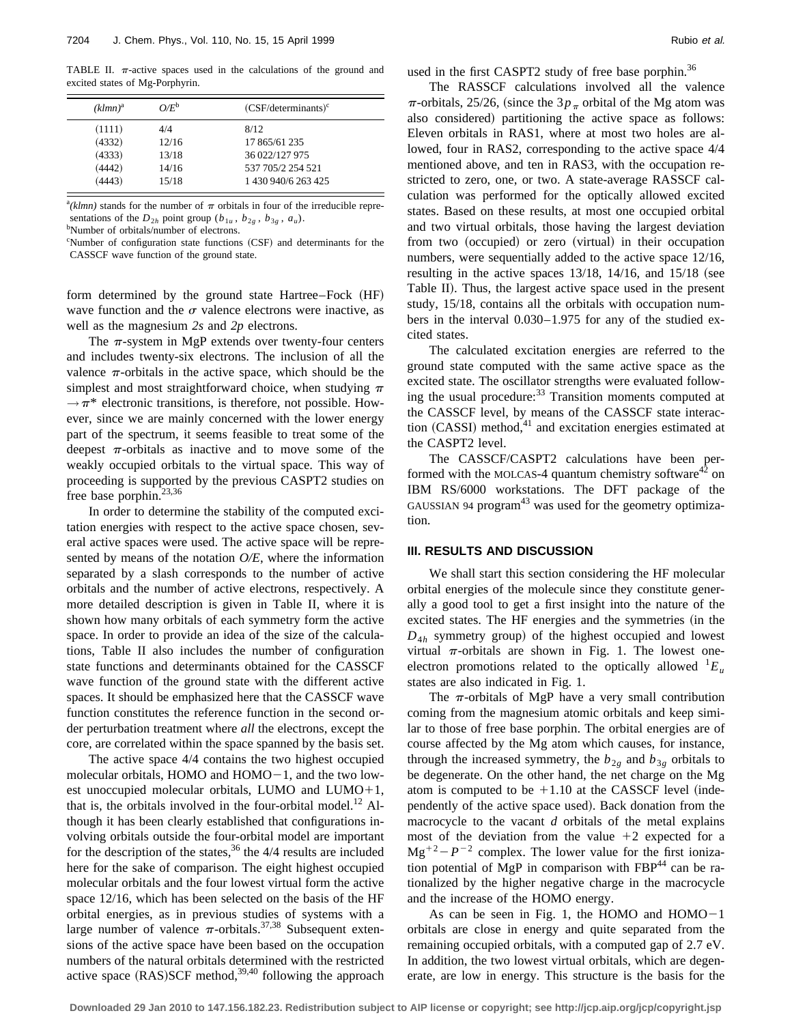TABLE II.  $\pi$ -active spaces used in the calculations of the ground and excited states of Mg-Porphyrin.

| $(klmn)^a$ | $O/E^b$ | $(CSF/determinants)^c$ |
|------------|---------|------------------------|
| (1111)     | 4/4     | 8/12                   |
| (4332)     | 12/16   | 17 865/61 235          |
| (4333)     | 13/18   | 36 022/127 975         |
| (4442)     | 14/16   | 537 705/2 254 521      |
| (4443)     | 15/18   | 1 430 940/6 263 425    |

 $^{a}(klmn)$  stands for the number of  $\pi$  orbitals in four of the irreducible representations of the  $D_{2h}$  point group ( $b_{1u}$ ,  $b_{2g}$ ,  $b_{3g}$ ,  $a_u$ ).

Number of orbitals/number of electrons.

<sup>c</sup>Number of configuration state functions (CSF) and determinants for the CASSCF wave function of the ground state.

form determined by the ground state Hartree–Fock (HF) wave function and the  $\sigma$  valence electrons were inactive, as well as the magnesium *2s* and *2p* electrons.

The  $\pi$ -system in MgP extends over twenty-four centers and includes twenty-six electrons. The inclusion of all the valence  $\pi$ -orbitals in the active space, which should be the simplest and most straightforward choice, when studying  $\pi$  $\rightarrow \pi^*$  electronic transitions, is therefore, not possible. However, since we are mainly concerned with the lower energy part of the spectrum, it seems feasible to treat some of the deepest  $\pi$ -orbitals as inactive and to move some of the weakly occupied orbitals to the virtual space. This way of proceeding is supported by the previous CASPT2 studies on free base porphin.<sup>23,36</sup>

In order to determine the stability of the computed excitation energies with respect to the active space chosen, several active spaces were used. The active space will be represented by means of the notation *O/E*, where the information separated by a slash corresponds to the number of active orbitals and the number of active electrons, respectively. A more detailed description is given in Table II, where it is shown how many orbitals of each symmetry form the active space. In order to provide an idea of the size of the calculations, Table II also includes the number of configuration state functions and determinants obtained for the CASSCF wave function of the ground state with the different active spaces. It should be emphasized here that the CASSCF wave function constitutes the reference function in the second order perturbation treatment where *all* the electrons, except the core, are correlated within the space spanned by the basis set.

The active space 4/4 contains the two highest occupied molecular orbitals, HOMO and  $HOMO-1$ , and the two lowest unoccupied molecular orbitals, LUMO and LUMO $+1$ , that is, the orbitals involved in the four-orbital model.<sup>12</sup> Although it has been clearly established that configurations involving orbitals outside the four-orbital model are important for the description of the states,  $36$  the 4/4 results are included here for the sake of comparison. The eight highest occupied molecular orbitals and the four lowest virtual form the active space 12/16, which has been selected on the basis of the HF orbital energies, as in previous studies of systems with a large number of valence  $\pi$ -orbitals.<sup>37,38</sup> Subsequent extensions of the active space have been based on the occupation numbers of the natural orbitals determined with the restricted active space  $(RAS)SCF$  method,<sup>39,40</sup> following the approach used in the first CASPT2 study of free base porphin.<sup>36</sup>

The RASSCF calculations involved all the valence  $\pi$ -orbitals, 25/26, (since the 3 $p_{\pi}$  orbital of the Mg atom was also considered) partitioning the active space as follows: Eleven orbitals in RAS1, where at most two holes are allowed, four in RAS2, corresponding to the active space 4/4 mentioned above, and ten in RAS3, with the occupation restricted to zero, one, or two. A state-average RASSCF calculation was performed for the optically allowed excited states. Based on these results, at most one occupied orbital and two virtual orbitals, those having the largest deviation from two (occupied) or zero (virtual) in their occupation numbers, were sequentially added to the active space 12/16, resulting in the active spaces  $13/18$ ,  $14/16$ , and  $15/18$  (see Table II). Thus, the largest active space used in the present study, 15/18, contains all the orbitals with occupation numbers in the interval 0.030–1.975 for any of the studied excited states.

The calculated excitation energies are referred to the ground state computed with the same active space as the excited state. The oscillator strengths were evaluated following the usual procedure:<sup>33</sup> Transition moments computed at the CASSCF level, by means of the CASSCF state interaction  $(CASSI)$  method,<sup>41</sup> and excitation energies estimated at the CASPT2 level.

The CASSCF/CASPT2 calculations have been performed with the MOLCAS-4 quantum chemistry software<sup>42</sup> on IBM RS/6000 workstations. The DFT package of the GAUSSIAN 94 program $43$  was used for the geometry optimization.

#### **III. RESULTS AND DISCUSSION**

We shall start this section considering the HF molecular orbital energies of the molecule since they constitute generally a good tool to get a first insight into the nature of the excited states. The HF energies and the symmetries (in the  $D_{4h}$  symmetry group) of the highest occupied and lowest virtual  $\pi$ -orbitals are shown in Fig. 1. The lowest oneelectron promotions related to the optically allowed  ${}^{1}E_u$ states are also indicated in Fig. 1.

The  $\pi$ -orbitals of MgP have a very small contribution coming from the magnesium atomic orbitals and keep similar to those of free base porphin. The orbital energies are of course affected by the Mg atom which causes, for instance, through the increased symmetry, the  $b_{2g}$  and  $b_{3g}$  orbitals to be degenerate. On the other hand, the net charge on the Mg atom is computed to be  $+1.10$  at the CASSCF level (independently of the active space used). Back donation from the macrocycle to the vacant *d* orbitals of the metal explains most of the deviation from the value  $+2$  expected for a  $Mg^{+2}-P^{-2}$  complex. The lower value for the first ionization potential of MgP in comparison with  $FBP<sup>44</sup>$  can be rationalized by the higher negative charge in the macrocycle and the increase of the HOMO energy.

As can be seen in Fig. 1, the HOMO and  $HOMO-1$ orbitals are close in energy and quite separated from the remaining occupied orbitals, with a computed gap of 2.7 eV. In addition, the two lowest virtual orbitals, which are degenerate, are low in energy. This structure is the basis for the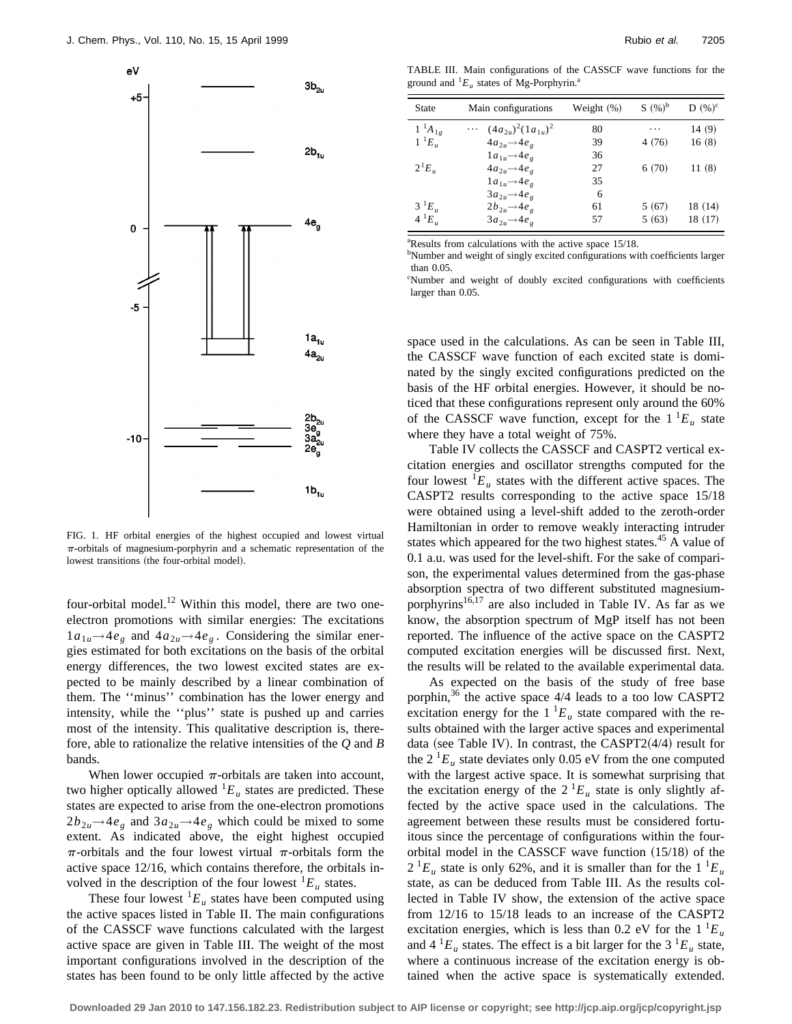

FIG. 1. HF orbital energies of the highest occupied and lowest virtual  $\pi$ -orbitals of magnesium-porphyrin and a schematic representation of the lowest transitions (the four-orbital model).

four-orbital model.<sup>12</sup> Within this model, there are two oneelectron promotions with similar energies: The excitations  $1a_{1u}$ →4*e<sub>g</sub>* and  $4a_{2u}$ →4*e<sub>g</sub>*. Considering the similar energies estimated for both excitations on the basis of the orbital energy differences, the two lowest excited states are expected to be mainly described by a linear combination of them. The ''minus'' combination has the lower energy and intensity, while the ''plus'' state is pushed up and carries most of the intensity. This qualitative description is, therefore, able to rationalize the relative intensities of the *Q* and *B* bands.

When lower occupied  $\pi$ -orbitals are taken into account, two higher optically allowed  ${}^{1}E_u$  states are predicted. These states are expected to arise from the one-electron promotions  $2b_{2u}$   $\rightarrow$  4*e<sub>g</sub>* and  $3a_{2u}$   $\rightarrow$  4*e<sub>g</sub>* which could be mixed to some extent. As indicated above, the eight highest occupied  $\pi$ -orbitals and the four lowest virtual  $\pi$ -orbitals form the active space 12/16, which contains therefore, the orbitals involved in the description of the four lowest  ${}^{1}E_u$  states.

These four lowest  ${}^{1}E_u$  states have been computed using the active spaces listed in Table II. The main configurations of the CASSCF wave functions calculated with the largest active space are given in Table III. The weight of the most important configurations involved in the description of the states has been found to be only little affected by the active

TABLE III. Main configurations of the CASSCF wave functions for the ground and  ${}^{1}E_u$  states of Mg-Porphyrin.<sup>a</sup>

| <b>State</b>    | Main configurations                       | Weight $(\%)$ | $S(%)^b$ | $D(%)^c$ |
|-----------------|-------------------------------------------|---------------|----------|----------|
| $1^{1}A_{1g}$   | $(4a_{2u})^2(1a_{1u})^2$<br>$\cdots$      | 80            | .        | 14(9)    |
| $1^{-1}E_{\mu}$ | $4a_{2\mu} \rightarrow 4e_{\rho}$         | 39            | 4(76)    | 16(8)    |
|                 | $1a_{1u}{\to}4e_{\scriptscriptstyle\rho}$ | 36            |          |          |
| $2^{1}E_{u}$    | $4a_{2\mu} \rightarrow 4e_{\rho}$         | 27            | 6(70)    | 11(8)    |
|                 | $1a_{1u}$ $\rightarrow$ 4 $e_{e}$         | 35            |          |          |
|                 | $3a_{2u} \rightarrow 4e_{\rho}$           | 6             |          |          |
| $3^{1}E_{\mu}$  | $2b_{2\mu} \rightarrow 4e_{\rho}$         | 61            | 5(67)    | 18 (14)  |
| $4^{1}E_{u}$    | $3a_{2u}$ $\rightarrow$ 4 $e_{e}$         | 57            | 5(63)    | 18 (17)  |

a Results from calculations with the active space 15/18.

<sup>b</sup>Number and weight of singly excited configurations with coefficients larger than 0.05.

c Number and weight of doubly excited configurations with coefficients larger than 0.05.

space used in the calculations. As can be seen in Table III, the CASSCF wave function of each excited state is dominated by the singly excited configurations predicted on the basis of the HF orbital energies. However, it should be noticed that these configurations represent only around the 60% of the CASSCF wave function, except for the  $1^1E_u$  state where they have a total weight of 75%.

Table IV collects the CASSCF and CASPT2 vertical excitation energies and oscillator strengths computed for the four lowest  ${}^{1}E_{\mu}$  states with the different active spaces. The CASPT2 results corresponding to the active space 15/18 were obtained using a level-shift added to the zeroth-order Hamiltonian in order to remove weakly interacting intruder states which appeared for the two highest states. $45$  A value of 0.1 a.u. was used for the level-shift. For the sake of comparison, the experimental values determined from the gas-phase absorption spectra of two different substituted magnesiumporphyrins $16,17$  are also included in Table IV. As far as we know, the absorption spectrum of MgP itself has not been reported. The influence of the active space on the CASPT2 computed excitation energies will be discussed first. Next, the results will be related to the available experimental data.

As expected on the basis of the study of free base porphin,<sup>36</sup> the active space 4/4 leads to a too low CASPT2 excitation energy for the  $1<sup>1</sup>E<sub>u</sub>$  state compared with the results obtained with the larger active spaces and experimental data (see Table IV). In contrast, the CASPT2 $(4/4)$  result for the  $2^{1}E_u$  state deviates only 0.05 eV from the one computed with the largest active space. It is somewhat surprising that the excitation energy of the  $2^{1}E_{u}$  state is only slightly affected by the active space used in the calculations. The agreement between these results must be considered fortuitous since the percentage of configurations within the fourorbital model in the CASSCF wave function  $(15/18)$  of the  $2^{1}E_{u}$  state is only 62%, and it is smaller than for the  $1^{1}E_{u}$ state, as can be deduced from Table III. As the results collected in Table IV show, the extension of the active space from 12/16 to 15/18 leads to an increase of the CASPT2 excitation energies, which is less than 0.2 eV for the  $1^1E_u$ and  $4^1E_u$  states. The effect is a bit larger for the  $3^1E_u$  state, where a continuous increase of the excitation energy is obtained when the active space is systematically extended.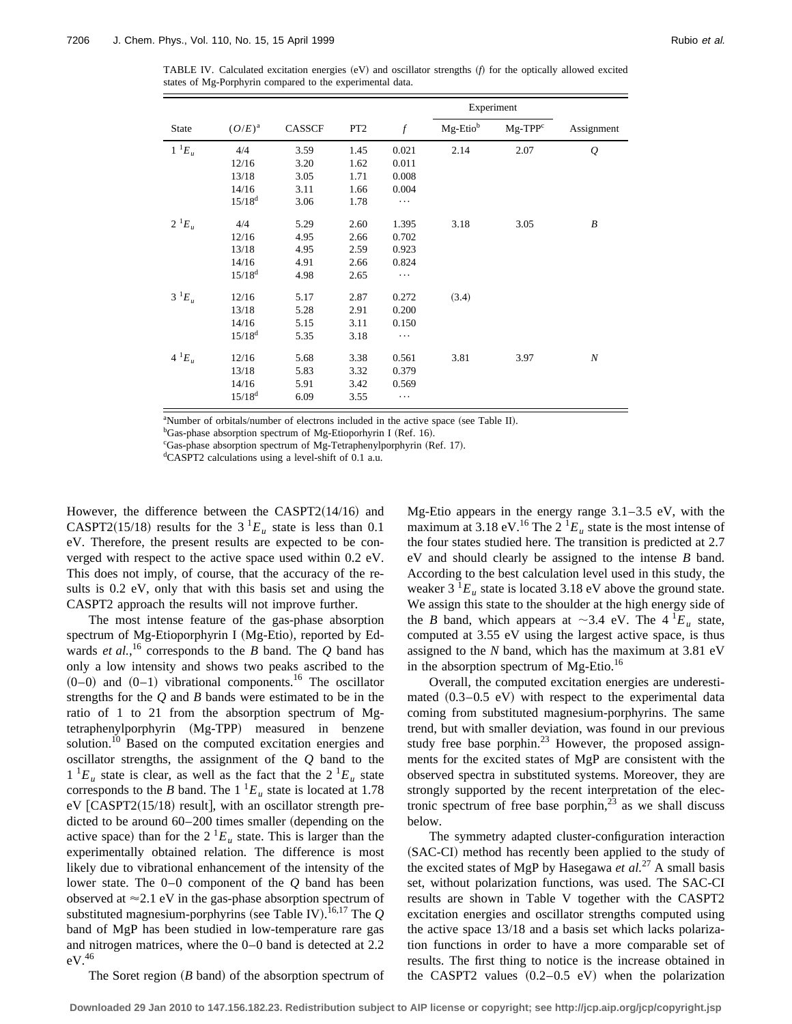TABLE IV. Calculated excitation energies  $(eV)$  and oscillator strengths  $(f)$  for the optically allowed excited states of Mg-Porphyrin compared to the experimental data.

|              |             |        |                 |                  | Experiment |           |                  |
|--------------|-------------|--------|-----------------|------------------|------------|-----------|------------------|
| State        | $(O/E)^a$   | CASSCF | PT <sub>2</sub> | $\boldsymbol{f}$ | Mg-Etiob   | $Mg-TPPc$ | Assignment       |
| $1^{-1}E_u$  | 4/4         | 3.59   | 1.45            | 0.021            | 2.14       | 2.07      | $\mathcal{Q}$    |
|              | 12/16       | 3.20   | 1.62            | 0.011            |            |           |                  |
|              | 13/18       | 3.05   | 1.71            | 0.008            |            |           |                  |
|              | 14/16       | 3.11   | 1.66            | 0.004            |            |           |                  |
|              | $15/18^{d}$ | 3.06   | 1.78            | $\cdots$         |            |           |                  |
| $2^{1}E_{u}$ | 4/4         | 5.29   | 2.60            | 1.395            | 3.18       | 3.05      | $\boldsymbol{B}$ |
|              | 12/16       | 4.95   | 2.66            | 0.702            |            |           |                  |
|              | 13/18       | 4.95   | 2.59            | 0.923            |            |           |                  |
|              | 14/16       | 4.91   | 2.66            | 0.824            |            |           |                  |
|              | $15/18^{d}$ | 4.98   | 2.65            | $\ddots$         |            |           |                  |
| $3^1E_u$     | 12/16       | 5.17   | 2.87            | 0.272            | (3.4)      |           |                  |
|              | 13/18       | 5.28   | 2.91            | 0.200            |            |           |                  |
|              | 14/16       | 5.15   | 3.11            | 0.150            |            |           |                  |
|              | $15/18^{d}$ | 5.35   | 3.18            | $\cdots$         |            |           |                  |
| $4~^{1}E_u$  | 12/16       | 5.68   | 3.38            | 0.561            | 3.81       | 3.97      | $\boldsymbol{N}$ |
|              | 13/18       | 5.83   | 3.32            | 0.379            |            |           |                  |
|              | 14/16       | 5.91   | 3.42            | 0.569            |            |           |                  |
|              | $15/18^{d}$ | 6.09   | 3.55            | $\ddots$         |            |           |                  |

<sup>a</sup>Number of orbitals/number of electrons included in the active space (see Table II).

<sup>b</sup>Gas-phase absorption spectrum of Mg-Etioporhyrin I (Ref. 16).

<sup>c</sup>Gas-phase absorption spectrum of Mg-Tetraphenylporphyrin (Ref. 17).

d CASPT2 calculations using a level-shift of 0.1 a.u.

However, the difference between the  $CASPT2(14/16)$  and CASPT2(15/18) results for the  $3<sup>1</sup>E<sub>u</sub>$  state is less than 0.1 eV. Therefore, the present results are expected to be converged with respect to the active space used within 0.2 eV. This does not imply, of course, that the accuracy of the results is 0.2 eV, only that with this basis set and using the CASPT2 approach the results will not improve further.

The most intense feature of the gas-phase absorption spectrum of Mg-Etioporphyrin I (Mg-Etio), reported by Edwards *et al.*, <sup>16</sup> corresponds to the *B* band. The *Q* band has only a low intensity and shows two peaks ascribed to the  $(0-0)$  and  $(0-1)$  vibrational components.<sup>16</sup> The oscillator strengths for the *Q* and *B* bands were estimated to be in the ratio of 1 to 21 from the absorption spectrum of Mgtetraphenylporphyrin (Mg-TPP) measured in benzene solution.<sup>10</sup> Based on the computed excitation energies and oscillator strengths, the assignment of the *Q* band to the  $1^{1}E_{u}$  state is clear, as well as the fact that the  $2^{1}E_{u}$  state corresponds to the *B* band. The  $1^{1}E_u$  state is located at 1.78  $eV$  [CASPT2(15/18) result], with an oscillator strength predicted to be around  $60-200$  times smaller (depending on the active space) than for the  $2^{1}E_u$  state. This is larger than the experimentally obtained relation. The difference is most likely due to vibrational enhancement of the intensity of the lower state. The 0–0 component of the *Q* band has been observed at  $\approx$  2.1 eV in the gas-phase absorption spectrum of substituted magnesium-porphyrins (see Table IV).<sup>16,17</sup> The  $Q$ band of MgP has been studied in low-temperature rare gas and nitrogen matrices, where the 0–0 band is detected at 2.2  $eV.<sup>46</sup>$ 

The Soret region  $(B \text{ band})$  of the absorption spectrum of

Mg-Etio appears in the energy range 3.1–3.5 eV, with the maximum at 3.18 eV.<sup>16</sup> The 2<sup>1</sup> $E_u$  state is the most intense of the four states studied here. The transition is predicted at 2.7 eV and should clearly be assigned to the intense *B* band. According to the best calculation level used in this study, the weaker  $3 \text{ }^{1}E_u$  state is located 3.18 eV above the ground state. We assign this state to the shoulder at the high energy side of the *B* band, which appears at  $\sim$ 3.4 eV. The 4  $^{1}E_u$  state, computed at 3.55 eV using the largest active space, is thus assigned to the *N* band, which has the maximum at 3.81 eV in the absorption spectrum of Mg-Etio.<sup>16</sup>

Overall, the computed excitation energies are underestimated  $(0.3-0.5 \text{ eV})$  with respect to the experimental data coming from substituted magnesium-porphyrins. The same trend, but with smaller deviation, was found in our previous study free base porphin.<sup>23</sup> However, the proposed assignments for the excited states of MgP are consistent with the observed spectra in substituted systems. Moreover, they are strongly supported by the recent interpretation of the electronic spectrum of free base porphin, $^{23}$  as we shall discuss below.

The symmetry adapted cluster-configuration interaction (SAC-CI) method has recently been applied to the study of the excited states of MgP by Hasegawa *et al.*<sup>27</sup> A small basis set, without polarization functions, was used. The SAC-CI results are shown in Table V together with the CASPT2 excitation energies and oscillator strengths computed using the active space 13/18 and a basis set which lacks polarization functions in order to have a more comparable set of results. The first thing to notice is the increase obtained in the CASPT2 values  $(0.2-0.5 \text{ eV})$  when the polarization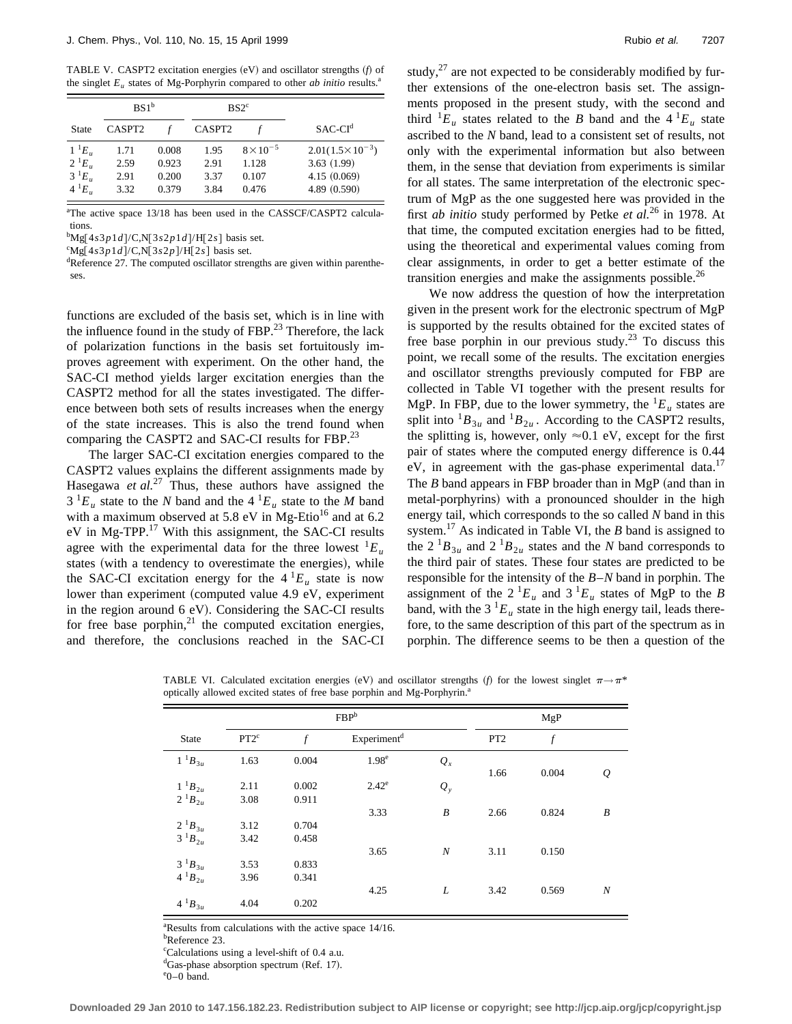TABLE V. CASPT2 excitation energies (eV) and oscillator strengths (*f*) of the singlet  $E_u$  states of Mg-Porphyrin compared to other *ab initio* results.<sup>a</sup>

|              |                    | BS1 <sup>b</sup> |                    | BS2 <sup>c</sup>   |                          |
|--------------|--------------------|------------------|--------------------|--------------------|--------------------------|
| <b>State</b> | CASPT <sub>2</sub> |                  | CASPT <sub>2</sub> |                    | $SAC-CId$                |
| $1^{-1}E_u$  | 1.71               | 0.008            | 1.95               | $8 \times 10^{-5}$ | $2.01(1.5\times10^{-3})$ |
| $2^{1}E_{u}$ | 2.59               | 0.923            | 2.91               | 1.128              | 3.63(1.99)               |
| $3^1E_u$     | 2.91               | 0.200            | 3.37               | 0.107              | 4.15(0.069)              |
| $4^{1}E_{u}$ | 3.32               | 0.379            | 3.84               | 0.476              | 4.89 (0.590)             |

<sup>a</sup>The active space 13/18 has been used in the CASSCF/CASPT2 calculations.

 $^{b}Mg[4s3p1d]/C,N[3s2p1d]/H[2s]$  basis set.

 $\binom{c}{Mg}$  [4*s*3*p* 1*d*]/C,N[3*s*2*p*]/H[2*s*] basis set.

<sup>d</sup>Reference 27. The computed oscillator strengths are given within parentheses.

functions are excluded of the basis set, which is in line with the influence found in the study of  $FBP<sup>23</sup>$ . Therefore, the lack of polarization functions in the basis set fortuitously improves agreement with experiment. On the other hand, the SAC-CI method yields larger excitation energies than the CASPT2 method for all the states investigated. The difference between both sets of results increases when the energy of the state increases. This is also the trend found when comparing the CASPT2 and SAC-CI results for FBP.<sup>23</sup>

The larger SAC-CI excitation energies compared to the CASPT2 values explains the different assignments made by Hasegawa *et al.*<sup>27</sup> Thus, these authors have assigned the  $3<sup>1</sup>E<sub>u</sub>$  state to the *N* band and the  $4<sup>1</sup>E<sub>u</sub>$  state to the *M* band with a maximum observed at 5.8 eV in Mg-Etio<sup>16</sup> and at 6.2 eV in Mg-TPP. $^{17}$  With this assignment, the SAC-CI results agree with the experimental data for the three lowest  ${}^{1}E_u$ states (with a tendency to overestimate the energies), while the SAC-CI excitation energy for the  $4^1E_u$  state is now lower than experiment (computed value 4.9 eV, experiment in the region around  $6$  eV). Considering the SAC-CI results for free base porphin, $2<sup>1</sup>$  the computed excitation energies, and therefore, the conclusions reached in the SAC-CI study, $27$  are not expected to be considerably modified by further extensions of the one-electron basis set. The assignments proposed in the present study, with the second and third  ${}^{1}E_u$  states related to the *B* band and the  $4{}^{1}E_u$  state ascribed to the *N* band, lead to a consistent set of results, not only with the experimental information but also between them, in the sense that deviation from experiments is similar for all states. The same interpretation of the electronic spectrum of MgP as the one suggested here was provided in the first *ab initio* study performed by Petke *et al.*<sup>26</sup> in 1978. At that time, the computed excitation energies had to be fitted, using the theoretical and experimental values coming from clear assignments, in order to get a better estimate of the transition energies and make the assignments possible. $^{26}$ 

We now address the question of how the interpretation given in the present work for the electronic spectrum of MgP is supported by the results obtained for the excited states of free base porphin in our previous study.<sup>23</sup> To discuss this point, we recall some of the results. The excitation energies and oscillator strengths previously computed for FBP are collected in Table VI together with the present results for MgP. In FBP, due to the lower symmetry, the  ${}^{1}E_u$  states are split into  ${}^{1}B_{3u}$  and  ${}^{1}B_{2u}$ . According to the CASPT2 results, the splitting is, however, only  $\approx 0.1$  eV, except for the first pair of states where the computed energy difference is 0.44 eV, in agreement with the gas-phase experimental data.<sup>17</sup> The  $B$  band appears in FBP broader than in MgP (and than in metal-porphyrins) with a pronounced shoulder in the high energy tail, which corresponds to the so called *N* band in this system.<sup>17</sup> As indicated in Table VI, the *B* band is assigned to the  $2^{1}B_{3u}$  and  $2^{1}B_{2u}$  states and the *N* band corresponds to the third pair of states. These four states are predicted to be responsible for the intensity of the *B*–*N* band in porphin. The assignment of the  $2^{1}E_{u}$  and  $3^{1}E_{u}$  states of MgP to the *B* band, with the 3<sup>1</sup> $E_u$  state in the high energy tail, leads therefore, to the same description of this part of the spectrum as in porphin. The difference seems to be then a question of the

 $\text{FBP}^b$  MgP State  $PT2^c$  *f* Experiment<sup>d</sup> PT2 *f*  $1^{1}B_{3u}$  1.63 0.004 1.98<sup>e</sup>  $Q_x$ 1.66 0.004 *Q*  $1^{1}B_{2u}$  2.11 0.002 2.42<sup>e</sup>  $Q_y$  $2^{1}B_{2u}$  3.08 0.911 3.33 *B* 2.66 0.824 *B*  $2^{1}B_{3u}$  3.12 0.704<br>  $3^{1}B_{2u}$  3.42 0.458  $3^{1}B_{2u}$   $3.42$  0.458 3.65 *N* 3.11 0.150  $3^{1}B_{3u}$  3.53 0.833  $4^{1}B_{2u}$  3.96 0.341 4.25 *L* 3.42 0.569 *N*  $4^{1}B_{3u}$   $4.04$  0.202

TABLE VI. Calculated excitation energies (eV) and oscillator strengths  $(f)$  for the lowest singlet  $\pi \rightarrow \pi^*$ optically allowed excited states of free base porphin and Mg-Porphyrin.<sup>2</sup>

<sup>a</sup>Results from calculations with the active space 14/16.

b Reference 23.

c Calculations using a level-shift of 0.4 a.u.

<sup>d</sup>Gas-phase absorption spectrum (Ref. 17).

e 0–0 band.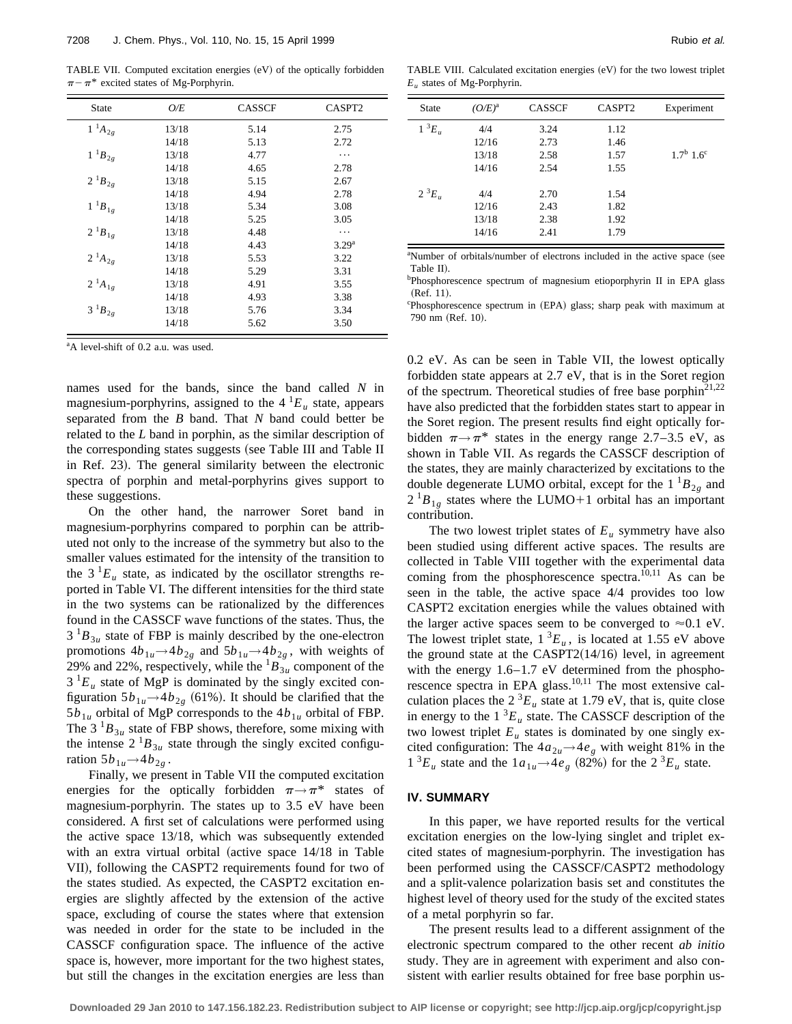TABLE VII. Computed excitation energies (eV) of the optically forbidden  $\pi - \pi^*$  excited states of Mg-Porphyrin.

| <b>State</b>   | O/E   | <b>CASSCF</b> | CASPT2            |
|----------------|-------|---------------|-------------------|
| $1~^1\!A_{2g}$ | 13/18 | 5.14          | 2.75              |
|                | 14/18 | 5.13          | 2.72              |
| $1~^1B_{2g}$   | 13/18 | 4.77          | .                 |
|                | 14/18 | 4.65          | 2.78              |
| $2^{1}B_{2g}$  | 13/18 | 5.15          | 2.67              |
|                | 14/18 | 4.94          | 2.78              |
| $1~^{1}B_{1g}$ | 13/18 | 5.34          | 3.08              |
|                | 14/18 | 5.25          | 3.05              |
| $2^{1}B_{1g}$  | 13/18 | 4.48          | .                 |
|                | 14/18 | 4.43          | 3.29 <sup>a</sup> |
| $2^{1}A_{2g}$  | 13/18 | 5.53          | 3.22              |
|                | 14/18 | 5.29          | 3.31              |
| $2^{1}A_{1g}$  | 13/18 | 4.91          | 3.55              |
|                | 14/18 | 4.93          | 3.38              |
| $3^{1}B_{2g}$  | 13/18 | 5.76          | 3.34              |
|                | 14/18 | 5.62          | 3.50              |

<sup>a</sup>A level-shift of 0.2 a.u. was used.

names used for the bands, since the band called *N* in magnesium-porphyrins, assigned to the  $4^1E_u$  state, appears separated from the *B* band. That *N* band could better be related to the *L* band in porphin, as the similar description of the corresponding states suggests (see Table III and Table II in Ref. 23). The general similarity between the electronic spectra of porphin and metal-porphyrins gives support to these suggestions.

On the other hand, the narrower Soret band in magnesium-porphyrins compared to porphin can be attributed not only to the increase of the symmetry but also to the smaller values estimated for the intensity of the transition to the  $3^1E_u$  state, as indicated by the oscillator strengths reported in Table VI. The different intensities for the third state in the two systems can be rationalized by the differences found in the CASSCF wave functions of the states. Thus, the  $3<sup>1</sup>B<sub>3u</sub>$  state of FBP is mainly described by the one-electron promotions  $4b_{1u}$   $\rightarrow$   $4b_{2g}$  and  $5b_{1u}$   $\rightarrow$   $4b_{2g}$ , with weights of 29% and 22%, respectively, while the  ${}^{1}B_{3u}$  component of the  $3<sup>1</sup>E<sub>u</sub>$  state of MgP is dominated by the singly excited configuration  $5b_{1u} \rightarrow 4b_{2g}$  (61%). It should be clarified that the  $5b_{1u}$  orbital of MgP corresponds to the  $4b_{1u}$  orbital of FBP. The 3  ${}^{1}B_{3u}$  state of FBP shows, therefore, some mixing with the intense  $2^{1}B_{3u}$  state through the singly excited configuration  $5b_{1u} \rightarrow 4b_{2g}$ .

Finally, we present in Table VII the computed excitation energies for the optically forbidden  $\pi \rightarrow \pi^*$  states of magnesium-porphyrin. The states up to 3.5 eV have been considered. A first set of calculations were performed using the active space 13/18, which was subsequently extended with an extra virtual orbital (active space  $14/18$  in Table VII), following the CASPT2 requirements found for two of the states studied. As expected, the CASPT2 excitation energies are slightly affected by the extension of the active space, excluding of course the states where that extension was needed in order for the state to be included in the CASSCF configuration space. The influence of the active space is, however, more important for the two highest states, but still the changes in the excitation energies are less than

| <b>State</b>   | $(O/E)^a$ | <b>CASSCF</b> | CASPT <sub>2</sub> | Experiment                  |
|----------------|-----------|---------------|--------------------|-----------------------------|
| $1 \ ^3E_u$    | 4/4       | 3.24          | 1.12               |                             |
|                | 12/16     | 2.73          | 1.46               |                             |
|                | 13/18     | 2.58          | 1.57               | $1.7^{\rm b}$ $1.6^{\rm c}$ |
|                | 14/16     | 2.54          | 1.55               |                             |
| $2^{3}E_{\mu}$ | 4/4       | 2.70          | 1.54               |                             |
|                | 12/16     | 2.43          | 1.82               |                             |
|                | 13/18     | 2.38          | 1.92               |                             |
|                | 14/16     | 2.41          | 1.79               |                             |

<sup>a</sup>Number of orbitals/number of electrons included in the active space (see Table II).

<sup>b</sup>Phosphorescence spectrum of magnesium etioporphyrin II in EPA glass  $(Ref. 11).$ 

<sup>c</sup>Phosphorescence spectrum in (EPA) glass; sharp peak with maximum at 790 nm (Ref. 10).

0.2 eV. As can be seen in Table VII, the lowest optically forbidden state appears at 2.7 eV, that is in the Soret region of the spectrum. Theoretical studies of free base porphi $n^{21,22}$ have also predicted that the forbidden states start to appear in the Soret region. The present results find eight optically forbidden  $\pi \rightarrow \pi^*$  states in the energy range 2.7–3.5 eV, as shown in Table VII. As regards the CASSCF description of the states, they are mainly characterized by excitations to the double degenerate LUMO orbital, except for the  $1^{1}B_{2g}$  and  $2^{1}B_{1g}$  states where the LUMO+1 orbital has an important contribution.

The two lowest triplet states of  $E_u$  symmetry have also been studied using different active spaces. The results are collected in Table VIII together with the experimental data coming from the phosphorescence spectra.<sup> $[0,11]$ </sup> As can be seen in the table, the active space 4/4 provides too low CASPT2 excitation energies while the values obtained with the larger active spaces seem to be converged to  $\approx 0.1$  eV. The lowest triplet state,  $1 \, {}^3E_u$ , is located at 1.55 eV above the ground state at the  $CASPT2(14/16)$  level, in agreement with the energy 1.6–1.7 eV determined from the phosphorescence spectra in EPA glass.<sup>10,11</sup> The most extensive calculation places the  $2^{3}E_{u}$  state at 1.79 eV, that is, quite close in energy to the  $1 \,^3E_u$  state. The CASSCF description of the two lowest triplet  $E_u$  states is dominated by one singly excited configuration: The  $4a_{2u} \rightarrow 4e_g$  with weight 81% in the  $1^{3}E_{u}$  state and the  $1a_{1u} \rightarrow 4e_{g}$  (82%) for the  $2^{3}E_{u}$  state.

### **IV. SUMMARY**

In this paper, we have reported results for the vertical excitation energies on the low-lying singlet and triplet excited states of magnesium-porphyrin. The investigation has been performed using the CASSCF/CASPT2 methodology and a split-valence polarization basis set and constitutes the highest level of theory used for the study of the excited states of a metal porphyrin so far.

The present results lead to a different assignment of the electronic spectrum compared to the other recent *ab initio* study. They are in agreement with experiment and also consistent with earlier results obtained for free base porphin us